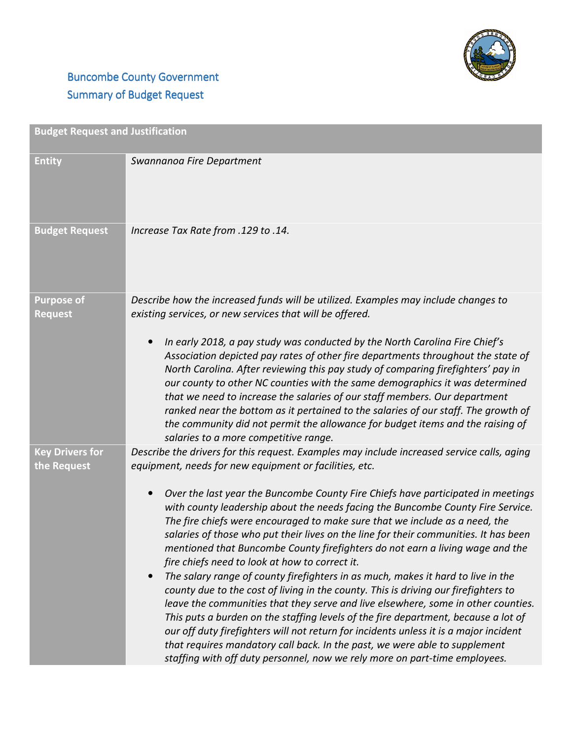

## **Buncombe County Government** Summary of Budget Request

| <b>Budget Request and Justification</b> |                                                                                                                                                                                                                                                                                                                                                                                                                                                                                                                                                                                                                                                                                                                                                                                                                                                                                                                                                                                                                                                                                                                                                                                                                                                                            |
|-----------------------------------------|----------------------------------------------------------------------------------------------------------------------------------------------------------------------------------------------------------------------------------------------------------------------------------------------------------------------------------------------------------------------------------------------------------------------------------------------------------------------------------------------------------------------------------------------------------------------------------------------------------------------------------------------------------------------------------------------------------------------------------------------------------------------------------------------------------------------------------------------------------------------------------------------------------------------------------------------------------------------------------------------------------------------------------------------------------------------------------------------------------------------------------------------------------------------------------------------------------------------------------------------------------------------------|
| <b>Entity</b>                           | Swannanoa Fire Department                                                                                                                                                                                                                                                                                                                                                                                                                                                                                                                                                                                                                                                                                                                                                                                                                                                                                                                                                                                                                                                                                                                                                                                                                                                  |
| <b>Budget Request</b>                   | lncrease Tax Rate from .129 to .14.                                                                                                                                                                                                                                                                                                                                                                                                                                                                                                                                                                                                                                                                                                                                                                                                                                                                                                                                                                                                                                                                                                                                                                                                                                        |
| <b>Purpose of</b><br><b>Request</b>     | Describe how the increased funds will be utilized. Examples may include changes to<br>existing services, or new services that will be offered.<br>In early 2018, a pay study was conducted by the North Carolina Fire Chief's<br>$\bullet$<br>Association depicted pay rates of other fire departments throughout the state of<br>North Carolina. After reviewing this pay study of comparing firefighters' pay in<br>our county to other NC counties with the same demographics it was determined<br>that we need to increase the salaries of our staff members. Our department<br>ranked near the bottom as it pertained to the salaries of our staff. The growth of<br>the community did not permit the allowance for budget items and the raising of<br>salaries to a more competitive range.                                                                                                                                                                                                                                                                                                                                                                                                                                                                          |
| <b>Key Drivers for</b><br>the Request   | Describe the drivers for this request. Examples may include increased service calls, aging<br>equipment, needs for new equipment or facilities, etc.<br>Over the last year the Buncombe County Fire Chiefs have participated in meetings<br>$\bullet$<br>with county leadership about the needs facing the Buncombe County Fire Service.<br>The fire chiefs were encouraged to make sure that we include as a need, the<br>salaries of those who put their lives on the line for their communities. It has been<br>mentioned that Buncombe County firefighters do not earn a living wage and the<br>fire chiefs need to look at how to correct it.<br>The salary range of county firefighters in as much, makes it hard to live in the<br>$\bullet$<br>county due to the cost of living in the county. This is driving our firefighters to<br>leave the communities that they serve and live elsewhere, some in other counties.<br>This puts a burden on the staffing levels of the fire department, because a lot of<br>our off duty firefighters will not return for incidents unless it is a major incident<br>that requires mandatory call back. In the past, we were able to supplement<br>staffing with off duty personnel, now we rely more on part-time employees. |